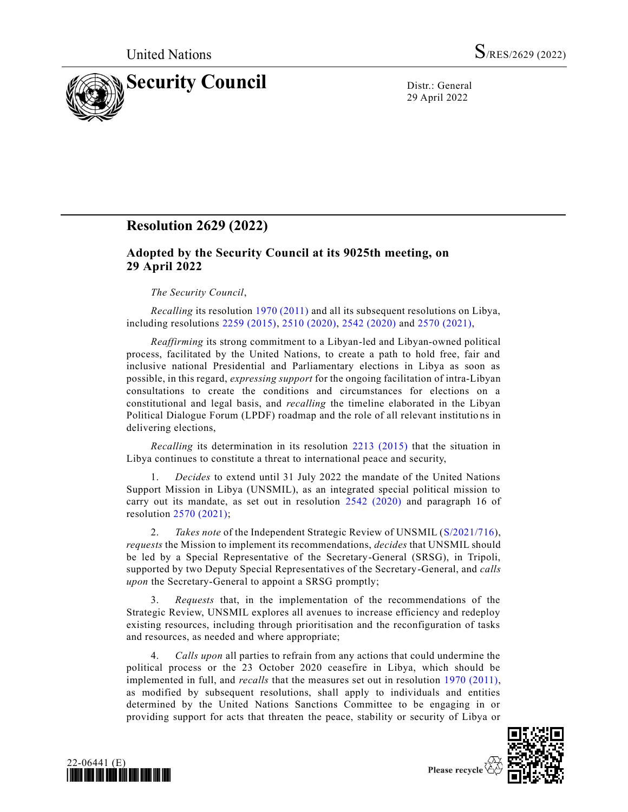

29 April 2022

## **Resolution 2629 (2022)**

## **Adopted by the Security Council at its 9025th meeting, on 29 April 2022**

## *The Security Council*,

*Recalling* its resolution [1970 \(2011\)](https://undocs.org/en/S/RES/1970(2011)) and all its subsequent resolutions on Libya, including resolutions [2259 \(2015\),](https://undocs.org/en/S/RES/2259(2015)) [2510 \(2020\),](https://undocs.org/en/S/RES/2510(2020)) [2542 \(2020\)](https://undocs.org/en/S/RES/2542(2020)) and [2570 \(2021\),](https://undocs.org/en/S/RES/2570(2021))

*Reaffirming* its strong commitment to a Libyan-led and Libyan-owned political process, facilitated by the United Nations, to create a path to hold free, fair and inclusive national Presidential and Parliamentary elections in Libya as soon as possible, in this regard, *expressing support* for the ongoing facilitation of intra-Libyan consultations to create the conditions and circumstances for elections on a constitutional and legal basis, and *recalling* the timeline elaborated in the Libyan Political Dialogue Forum (LPDF) roadmap and the role of all relevant institutio ns in delivering elections,

*Recalling* its determination in its resolution [2213 \(2015\)](https://undocs.org/en/S/RES/2213(2015)) that the situation in Libya continues to constitute a threat to international peace and security,

1. *Decides* to extend until 31 July 2022 the mandate of the United Nations Support Mission in Libya (UNSMIL), as an integrated special political mission to carry out its mandate, as set out in resolution [2542 \(2020\)](https://undocs.org/en/S/RES/2542(2020)) and paragraph 16 of resolution [2570 \(2021\);](https://undocs.org/en/S/RES/2570(2021))

2. *Takes note* of the Independent Strategic Review of UNSMIL [\(S/2021/716\)](https://undocs.org/en/S/2021/716), *requests* the Mission to implement its recommendations, *decides* that UNSMIL should be led by a Special Representative of the Secretary-General (SRSG), in Tripoli, supported by two Deputy Special Representatives of the Secretary-General, and *calls upon* the Secretary-General to appoint a SRSG promptly;

3. *Requests* that, in the implementation of the recommendations of the Strategic Review, UNSMIL explores all avenues to increase efficiency and redeploy existing resources, including through prioritisation and the reconfiguration of tasks and resources, as needed and where appropriate;

4. *Calls upon* all parties to refrain from any actions that could undermine the political process or the 23 October 2020 ceasefire in Libya, which should be implemented in full, and *recalls* that the measures set out in resolution [1970 \(2011\),](https://undocs.org/en/S/RES/1970(2011)) as modified by subsequent resolutions, shall apply to individuals and entities determined by the United Nations Sanctions Committee to be engaging in or providing support for acts that threaten the peace, stability or security of Libya or